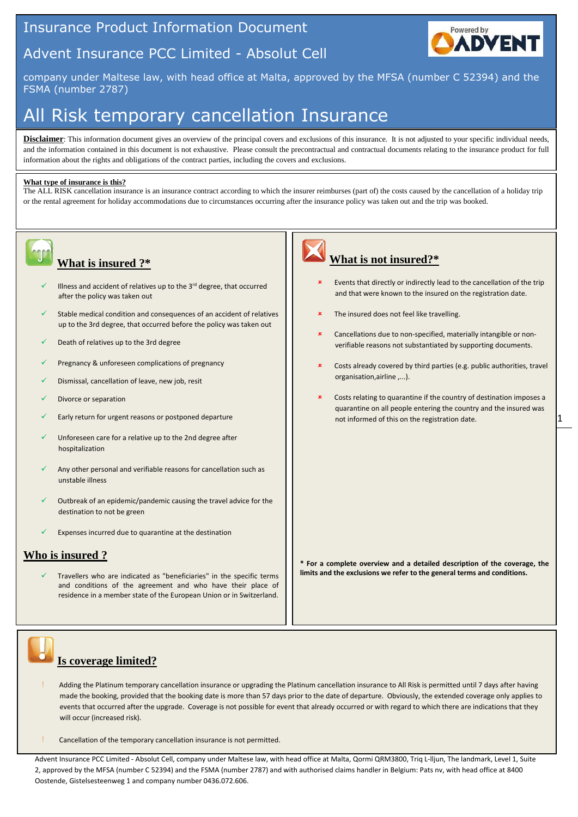## Insurance Product Information Document





company under Maltese law, with head office at Malta, approved by the MFSA (number C 52394) and the FSMA (number 2787)

# All Risk temporary cancellation Insurance

**Disclaimer**: This information document gives an overview of the principal covers and exclusions of this insurance. It is not adjusted to your specific individual needs, and the information contained in this document is not exhaustive. Please consult the precontractual and contractual documents relating to the insurance product for full information about the rights and obligations of the contract parties, including the covers and exclusions.

#### **What type of insurance is this?**

The ALL RISK cancellation insurance is an insurance contract according to which the insurer reimburses (part of) the costs caused by the cancellation of a holiday trip or the rental agreement for holiday accommodations due to circumstances occurring after the insurance policy was taken out and the trip was booked.



### **What is insured ?\***

- $\checkmark$  Illness and accident of relatives up to the 3<sup>rd</sup> degree, that occurred after the policy was taken out
- Stable medical condition and consequences of an accident of relatives up to the 3rd degree, that occurred before the policy was taken out
- Death of relatives up to the 3rd degree
- Pregnancy & unforeseen complications of pregnancy
- Dismissal, cancellation of leave, new job, resit
- Divorce or separation
- Early return for urgent reasons or postponed departure
- Unforeseen care for a relative up to the 2nd degree after hospitalization
- Any other personal and verifiable reasons for cancellation such as unstable illness
- Outbreak of an epidemic/pandemic causing the travel advice for the destination to not be green
- Expenses incurred due to quarantine at the destination

## **Who is insured ?**

 Travellers who are indicated as "beneficiaries" in the specific terms and conditions of the agreement and who have their place of residence in a member state of the European Union or in Switzerland.



## **What is not insured?\***

- Events that directly or indirectly lead to the cancellation of the trip and that were known to the insured on the registration date.
- The insured does not feel like travelling.
- Cancellations due to non-specified, materially intangible or nonverifiable reasons not substantiated by supporting documents.
- Costs already covered by third parties (e.g. public authorities, travel organisation,airline ,...).
- Costs relating to quarantine if the country of destination imposes a quarantine on all people entering the country and the insured was not informed of this on the registration date.

**\* For a complete overview and a detailed description of the coverage, the limits and the exclusions we refer to the general terms and conditions.** 



## **Is coverage limited?**

- Adding the Platinum temporary cancellation insurance or upgrading the Platinum cancellation insurance to All Risk is permitted until 7 days after having made the booking, provided that the booking date is more than 57 days prior to the date of departure. Obviously, the extended coverage only applies to events that occurred after the upgrade. Coverage is not possible for event that already occurred or with regard to which there are indications that they will occur (increased risk).
- Cancellation of the temporary cancellation insurance is not permitted.

Advent Insurance PCC Limited - Absolut Cell, company under Maltese law, with head office at Malta, Qormi QRM3800, Triq L-lljun, The landmark, Level 1, Suite 2, approved by the MFSA (number C 52394) and the FSMA (number 2787) and with authorised claims handler in Belgium: Pats nv, with head office at 8400 Oostende, Gistelsesteenweg 1 and company number 0436.072.606.